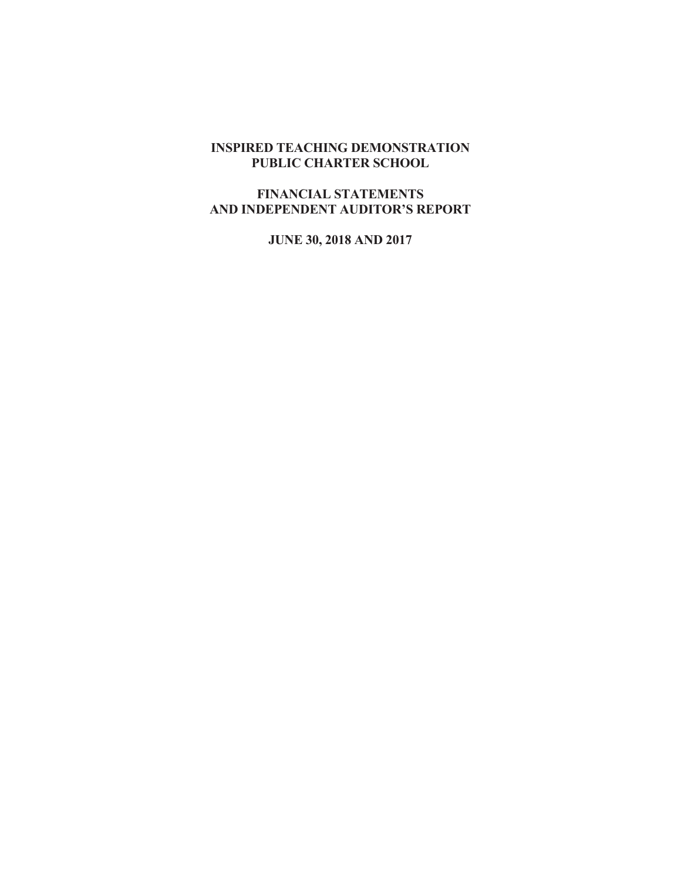## **INSPIRED TEACHING DEMONSTRATION PUBLIC CHARTER SCHOOL**

# **FINANCIAL STATEMENTS AND INDEPENDENT AUDITOR'S REPORT**

**JUNE 30, 2018 AND 2017**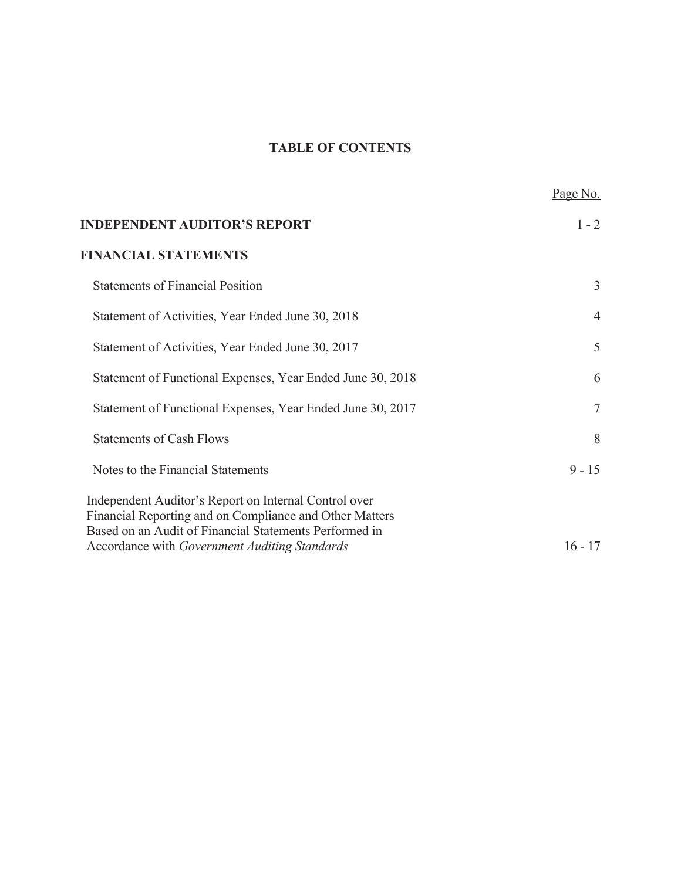# **TABLE OF CONTENTS**

|                                                                                                                                                                            | Page No.       |
|----------------------------------------------------------------------------------------------------------------------------------------------------------------------------|----------------|
| <b>INDEPENDENT AUDITOR'S REPORT</b>                                                                                                                                        | $1 - 2$        |
| <b>FINANCIAL STATEMENTS</b>                                                                                                                                                |                |
| <b>Statements of Financial Position</b>                                                                                                                                    | 3              |
| Statement of Activities, Year Ended June 30, 2018                                                                                                                          | $\overline{4}$ |
| Statement of Activities, Year Ended June 30, 2017                                                                                                                          | 5              |
| Statement of Functional Expenses, Year Ended June 30, 2018                                                                                                                 | 6              |
| Statement of Functional Expenses, Year Ended June 30, 2017                                                                                                                 | $\overline{7}$ |
| <b>Statements of Cash Flows</b>                                                                                                                                            | 8              |
| Notes to the Financial Statements                                                                                                                                          | $9 - 15$       |
| Independent Auditor's Report on Internal Control over<br>Financial Reporting and on Compliance and Other Matters<br>Based on an Audit of Financial Statements Performed in |                |
| Accordance with Government Auditing Standards                                                                                                                              | $16 - 17$      |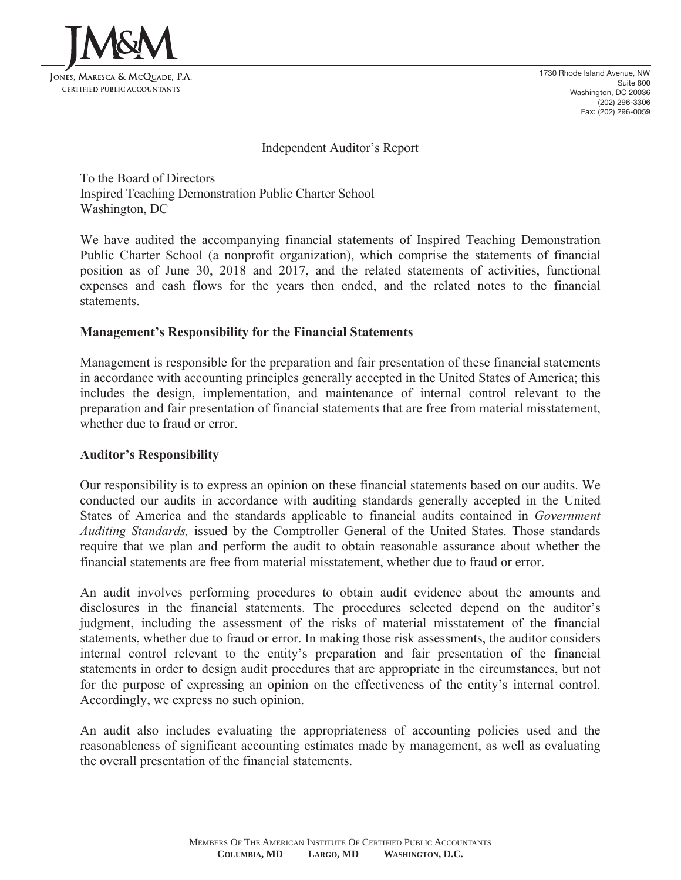

#### Independent Auditor's Report

To the Board of Directors Inspired Teaching Demonstration Public Charter School Washington, DC

We have audited the accompanying financial statements of Inspired Teaching Demonstration Public Charter School (a nonprofit organization), which comprise the statements of financial position as of June 30, 2018 and 2017, and the related statements of activities, functional expenses and cash flows for the years then ended, and the related notes to the financial statements.

#### **Management's Responsibility for the Financial Statements**

Management is responsible for the preparation and fair presentation of these financial statements in accordance with accounting principles generally accepted in the United States of America; this includes the design, implementation, and maintenance of internal control relevant to the preparation and fair presentation of financial statements that are free from material misstatement, whether due to fraud or error.

#### **Auditor's Responsibility**

Our responsibility is to express an opinion on these financial statements based on our audits. We conducted our audits in accordance with auditing standards generally accepted in the United States of America and the standards applicable to financial audits contained in *Government Auditing Standards,* issued by the Comptroller General of the United States. Those standards require that we plan and perform the audit to obtain reasonable assurance about whether the financial statements are free from material misstatement, whether due to fraud or error.

An audit involves performing procedures to obtain audit evidence about the amounts and disclosures in the financial statements. The procedures selected depend on the auditor's judgment, including the assessment of the risks of material misstatement of the financial statements, whether due to fraud or error. In making those risk assessments, the auditor considers internal control relevant to the entity's preparation and fair presentation of the financial statements in order to design audit procedures that are appropriate in the circumstances, but not for the purpose of expressing an opinion on the effectiveness of the entity's internal control. Accordingly, we express no such opinion.

An audit also includes evaluating the appropriateness of accounting policies used and the reasonableness of significant accounting estimates made by management, as well as evaluating the overall presentation of the financial statements.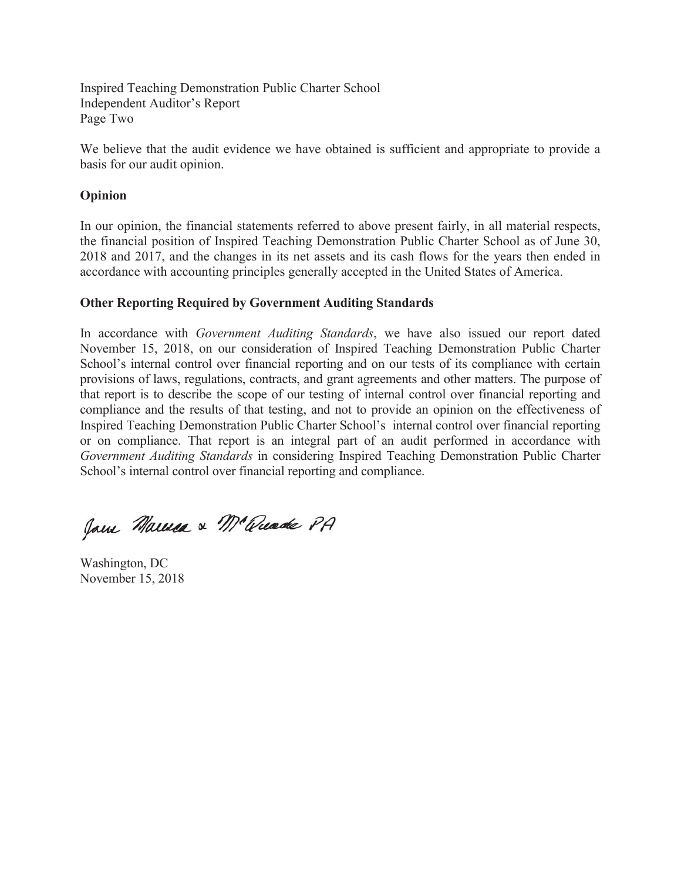Inspired Teaching Demonstration Public Charter School Independent Auditor's Report Page Two

We believe that the audit evidence we have obtained is sufficient and appropriate to provide a basis for our audit opinion.

### **Opinion**

In our opinion, the financial statements referred to above present fairly, in all material respects, the financial position of Inspired Teaching Demonstration Public Charter School as of June 30, 2018 and 2017, and the changes in its net assets and its cash flows for the years then ended in accordance with accounting principles generally accepted in the United States of America.

## **Other Reporting Required by Government Auditing Standards**

In accordance with *Government Auditing Standards*, we have also issued our report dated November 15, 2018, on our consideration of Inspired Teaching Demonstration Public Charter School's internal control over financial reporting and on our tests of its compliance with certain provisions of laws, regulations, contracts, and grant agreements and other matters. The purpose of that report is to describe the scope of our testing of internal control over financial reporting and compliance and the results of that testing, and not to provide an opinion on the effectiveness of Inspired Teaching Demonstration Public Charter School's internal control over financial reporting or on compliance. That report is an integral part of an audit performed in accordance with *Government Auditing Standards* in considering Inspired Teaching Demonstration Public Charter School's internal control over financial reporting and compliance.

Jam Marinea & Ma Quade PA

Washington, DC November 15, 2018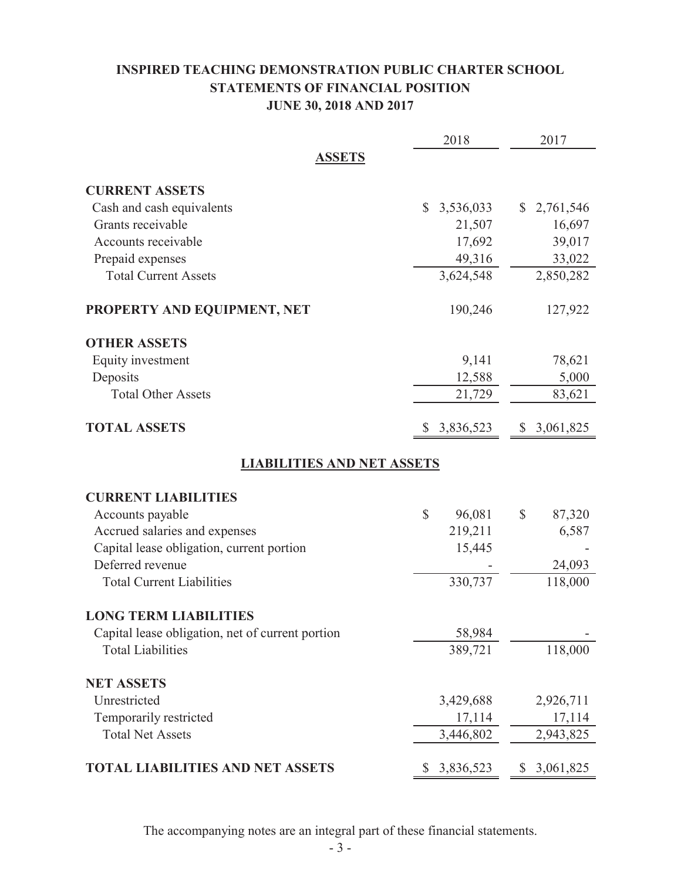# **INSPIRED TEACHING DEMONSTRATION PUBLIC CHARTER SCHOOL STATEMENTS OF FINANCIAL POSITION JUNE 30, 2018 AND 2017**

|                                                  | 2018                      | 2017                   |
|--------------------------------------------------|---------------------------|------------------------|
| <b>ASSETS</b>                                    |                           |                        |
| <b>CURRENT ASSETS</b>                            |                           |                        |
| Cash and cash equivalents                        | $\mathbb{S}$<br>3,536,033 | \$2,761,546            |
| Grants receivable                                | 21,507                    | 16,697                 |
| Accounts receivable                              | 17,692                    | 39,017                 |
| Prepaid expenses                                 | 49,316                    | 33,022                 |
| <b>Total Current Assets</b>                      | 3,624,548                 | 2,850,282              |
| PROPERTY AND EQUIPMENT, NET                      | 190,246                   | 127,922                |
| <b>OTHER ASSETS</b>                              |                           |                        |
| Equity investment                                | 9,141                     | 78,621                 |
| Deposits                                         | 12,588                    | 5,000                  |
| <b>Total Other Assets</b>                        | 21,729                    | 83,621                 |
| <b>TOTAL ASSETS</b>                              | 3,836,523                 | 3,061,825              |
| <u>LIABILITIES AND NET ASSETS</u>                |                           |                        |
| <b>CURRENT LIABILITIES</b>                       |                           |                        |
| Accounts payable                                 | $\mathbb{S}$<br>96,081    | $\mathbb{S}$<br>87,320 |
| Accrued salaries and expenses                    | 219,211                   | 6,587                  |
| Capital lease obligation, current portion        | 15,445                    |                        |
| Deferred revenue                                 |                           | 24,093                 |
| <b>Total Current Liabilities</b>                 | 330,737                   | 118,000                |
| <b>LONG TERM LIABILITIES</b>                     |                           |                        |
| Capital lease obligation, net of current portion | 58,984                    |                        |
| <b>Total Liabilities</b>                         | 389,721                   | 118,000                |
| <b>NET ASSETS</b>                                |                           |                        |
| Unrestricted                                     | 3,429,688                 | 2,926,711              |
| Temporarily restricted                           | 17,114                    | 17,114                 |
| <b>Total Net Assets</b>                          | 3,446,802                 | 2,943,825              |
| <b>TOTAL LIABILITIES AND NET ASSETS</b>          | \$3,836,523               | \$3,061,825            |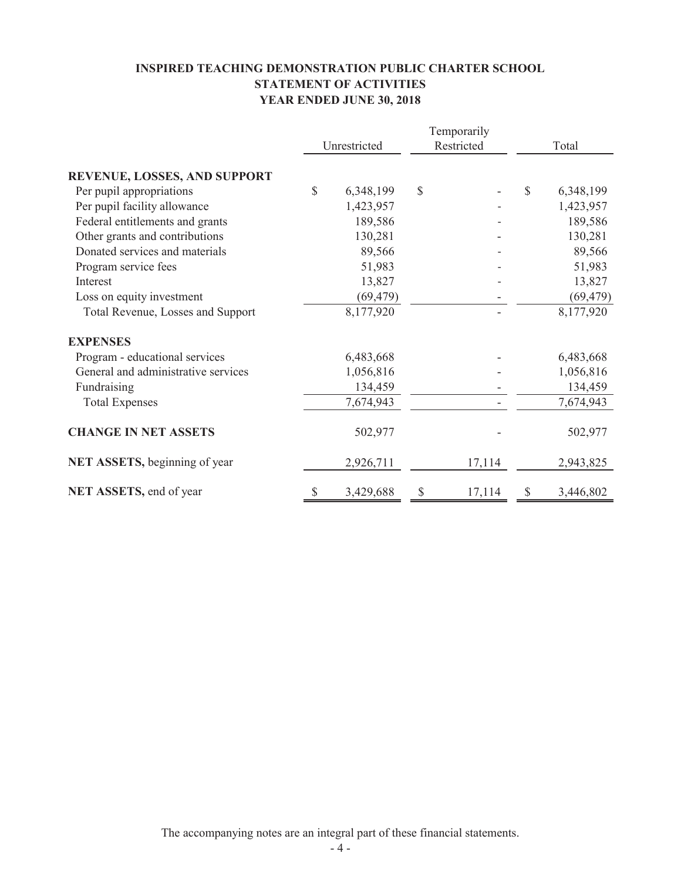# **INSPIRED TEACHING DEMONSTRATION PUBLIC CHARTER SCHOOL STATEMENT OF ACTIVITIES YEAR ENDED JUNE 30, 2018**

|                                     | Unrestricted |           | Temporarily<br>Restricted |        | Total |           |
|-------------------------------------|--------------|-----------|---------------------------|--------|-------|-----------|
| REVENUE, LOSSES, AND SUPPORT        |              |           |                           |        |       |           |
| Per pupil appropriations            | \$           | 6,348,199 | \$                        |        | \$    | 6,348,199 |
| Per pupil facility allowance        |              | 1,423,957 |                           |        |       | 1,423,957 |
| Federal entitlements and grants     |              | 189,586   |                           |        |       | 189,586   |
| Other grants and contributions      |              | 130,281   |                           |        |       | 130,281   |
| Donated services and materials      |              | 89,566    |                           |        |       | 89,566    |
| Program service fees                |              | 51,983    |                           |        |       | 51,983    |
| Interest                            |              | 13,827    |                           |        |       | 13,827    |
| Loss on equity investment           |              | (69, 479) |                           |        |       | (69, 479) |
| Total Revenue, Losses and Support   |              | 8,177,920 |                           |        |       | 8,177,920 |
| <b>EXPENSES</b>                     |              |           |                           |        |       |           |
| Program - educational services      |              | 6,483,668 |                           |        |       | 6,483,668 |
| General and administrative services |              | 1,056,816 |                           |        |       | 1,056,816 |
| Fundraising                         |              | 134,459   |                           |        |       | 134,459   |
| <b>Total Expenses</b>               |              | 7,674,943 |                           |        |       | 7,674,943 |
| <b>CHANGE IN NET ASSETS</b>         |              | 502,977   |                           |        |       | 502,977   |
| NET ASSETS, beginning of year       |              | 2,926,711 |                           | 17,114 |       | 2,943,825 |
| NET ASSETS, end of year             | S            | 3,429,688 | \$                        | 17,114 | \$    | 3,446,802 |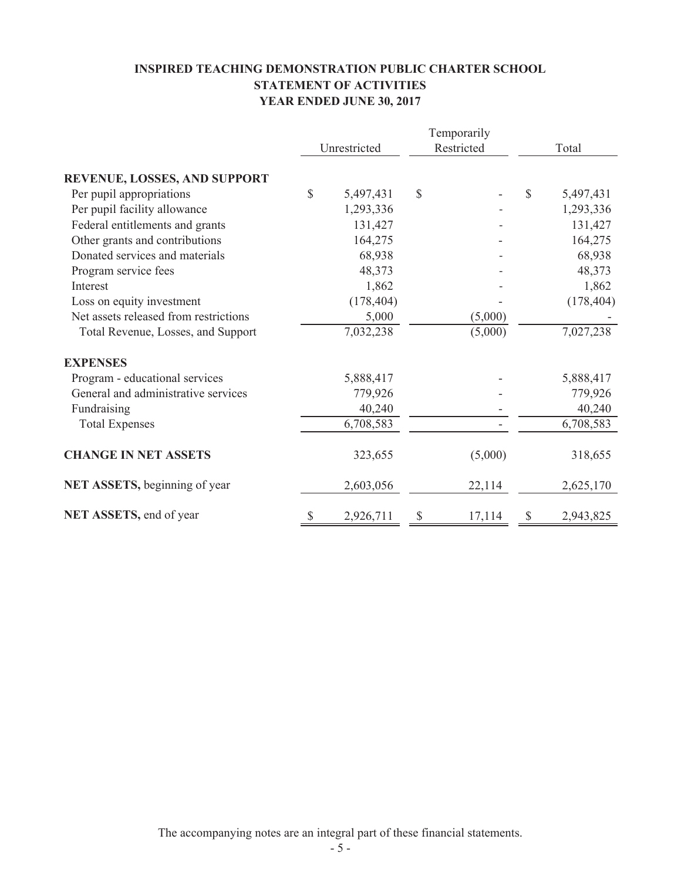## **INSPIRED TEACHING DEMONSTRATION PUBLIC CHARTER SCHOOL STATEMENT OF ACTIVITIES YEAR ENDED JUNE 30, 2017**

|                                       | Restricted<br>Unrestricted |              | Temporarily |               | Total      |  |
|---------------------------------------|----------------------------|--------------|-------------|---------------|------------|--|
| REVENUE, LOSSES, AND SUPPORT          |                            |              |             |               |            |  |
| Per pupil appropriations              | \$<br>5,497,431            | $\mathbb{S}$ |             | $\mathcal{S}$ | 5,497,431  |  |
| Per pupil facility allowance          | 1,293,336                  |              |             |               | 1,293,336  |  |
| Federal entitlements and grants       | 131,427                    |              |             |               | 131,427    |  |
| Other grants and contributions        | 164,275                    |              |             |               | 164,275    |  |
| Donated services and materials        | 68,938                     |              |             |               | 68,938     |  |
| Program service fees                  | 48,373                     |              |             |               | 48,373     |  |
| Interest                              | 1,862                      |              |             |               | 1,862      |  |
| Loss on equity investment             | (178, 404)                 |              |             |               | (178, 404) |  |
| Net assets released from restrictions | 5,000                      |              | (5,000)     |               |            |  |
| Total Revenue, Losses, and Support    | 7,032,238                  |              | (5,000)     |               | 7,027,238  |  |
| <b>EXPENSES</b>                       |                            |              |             |               |            |  |
| Program - educational services        | 5,888,417                  |              |             |               | 5,888,417  |  |
| General and administrative services   | 779,926                    |              |             |               | 779,926    |  |
| Fundraising                           | 40,240                     |              |             |               | 40,240     |  |
| <b>Total Expenses</b>                 | 6,708,583                  |              |             |               | 6,708,583  |  |
| <b>CHANGE IN NET ASSETS</b>           | 323,655                    |              | (5,000)     |               | 318,655    |  |
| NET ASSETS, beginning of year         | 2,603,056                  |              | 22,114      |               | 2,625,170  |  |
| NET ASSETS, end of year               | 2,926,711                  | \$           | 17,114      |               | 2,943,825  |  |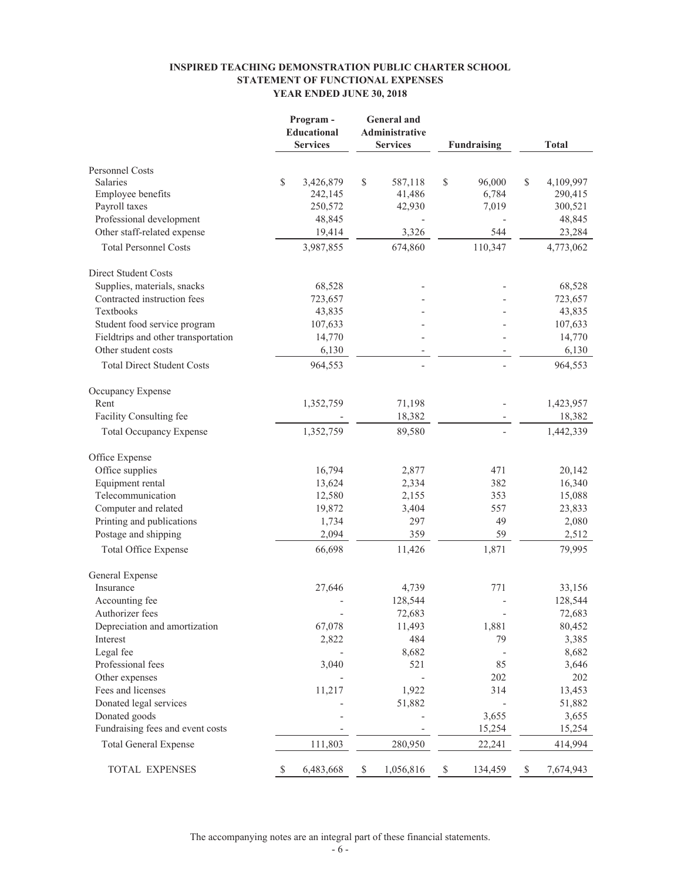#### **INSPIRED TEACHING DEMONSTRATION PUBLIC CHARTER SCHOOL STATEMENT OF FUNCTIONAL EXPENSES YEAR ENDED JUNE 30, 2018**

|                                     | Program-<br>Educational<br><b>Services</b> | <b>General</b> and<br><b>Administrative</b><br><b>Services</b> | Fundraising   | <b>Total</b>    |
|-------------------------------------|--------------------------------------------|----------------------------------------------------------------|---------------|-----------------|
| Personnel Costs                     |                                            |                                                                |               |                 |
| <b>Salaries</b>                     | \$<br>3,426,879                            | \$<br>587,118                                                  | \$<br>96,000  | 4,109,997<br>\$ |
| Employee benefits                   | 242,145                                    | 41,486                                                         | 6,784         | 290,415         |
| Payroll taxes                       | 250,572                                    | 42,930                                                         | 7,019         | 300,521         |
| Professional development            | 48,845                                     |                                                                |               | 48,845          |
| Other staff-related expense         | 19,414                                     | 3,326                                                          | 544           | 23,284          |
| <b>Total Personnel Costs</b>        | 3,987,855                                  | 674,860                                                        | 110,347       | 4,773,062       |
| Direct Student Costs                |                                            |                                                                |               |                 |
| Supplies, materials, snacks         | 68,528                                     |                                                                |               | 68,528          |
| Contracted instruction fees         | 723,657                                    |                                                                |               | 723,657         |
| Textbooks                           | 43,835                                     |                                                                |               | 43,835          |
| Student food service program        | 107,633                                    |                                                                |               | 107,633         |
| Fieldtrips and other transportation | 14,770                                     |                                                                |               | 14,770          |
| Other student costs                 | 6,130                                      |                                                                |               | 6,130           |
| <b>Total Direct Student Costs</b>   | 964,553                                    |                                                                |               | 964,553         |
| Occupancy Expense                   |                                            |                                                                |               |                 |
| Rent                                | 1,352,759                                  | 71,198                                                         |               | 1,423,957       |
| Facility Consulting fee             |                                            | 18,382                                                         |               | 18,382          |
| <b>Total Occupancy Expense</b>      | 1,352,759                                  | 89,580                                                         |               | 1,442,339       |
| Office Expense                      |                                            |                                                                |               |                 |
| Office supplies                     | 16,794                                     | 2,877                                                          | 471           | 20,142          |
| Equipment rental                    | 13,624                                     | 2,334                                                          | 382           | 16,340          |
| Telecommunication                   | 12,580                                     | 2,155                                                          | 353           | 15,088          |
| Computer and related                | 19,872                                     | 3,404                                                          | 557           | 23,833          |
| Printing and publications           | 1,734                                      | 297                                                            | 49            | 2,080           |
| Postage and shipping                | 2,094                                      | 359                                                            | 59            | 2,512           |
| <b>Total Office Expense</b>         | 66,698                                     | 11,426                                                         | 1,871         | 79,995          |
| General Expense                     |                                            |                                                                |               |                 |
| Insurance                           | 27,646                                     | 4,739                                                          | 771           | 33,156          |
| Accounting fee                      |                                            | 128,544                                                        |               | 128,544         |
| Authorizer fees                     |                                            | 72,683                                                         |               | 72,683          |
| Depreciation and amortization       | 67,078                                     | 11,493                                                         | 1,881         | 80,452          |
| Interest                            | 2,822                                      | 484                                                            | 79            | 3,385           |
| Legal fee                           |                                            | 8,682                                                          |               | 8,682           |
| Professional fees                   | 3,040                                      | 521                                                            | 85            | 3,646           |
| Other expenses                      |                                            |                                                                | 202           | 202             |
| Fees and licenses                   | 11,217                                     | 1,922                                                          | 314           | 13,453          |
| Donated legal services              |                                            | 51,882                                                         |               | 51,882          |
| Donated goods                       |                                            |                                                                | 3,655         | 3,655           |
| Fundraising fees and event costs    |                                            |                                                                | 15,254        | 15,254          |
| <b>Total General Expense</b>        | 111,803                                    | 280,950                                                        | 22,241        | 414,994         |
| TOTAL EXPENSES                      | \$<br>6,483,668                            | \$<br>1,056,816                                                | \$<br>134,459 | \$<br>7,674,943 |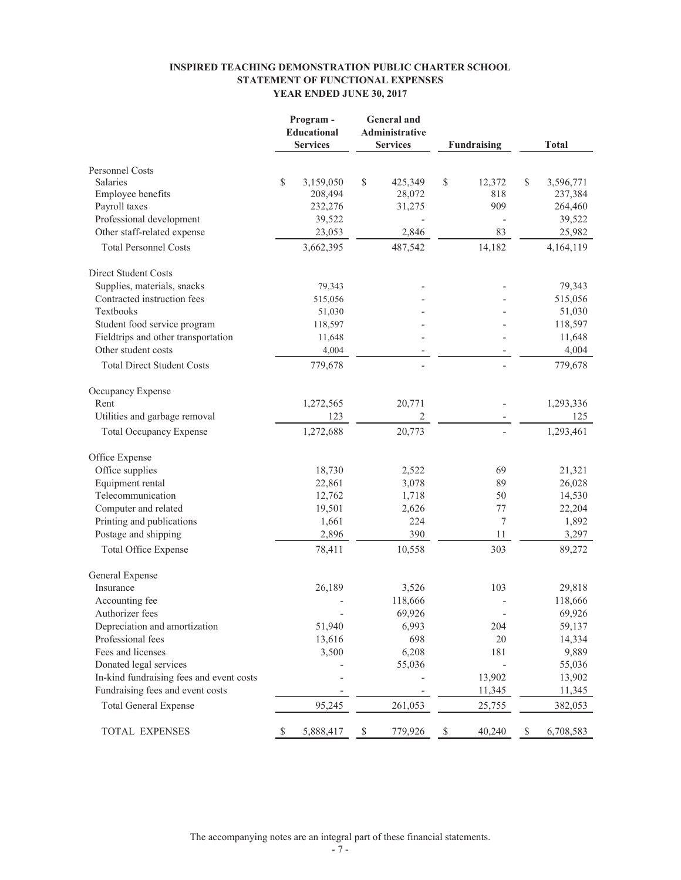#### **INSPIRED TEACHING DEMONSTRATION PUBLIC CHARTER SCHOOL STATEMENT OF FUNCTIONAL EXPENSES YEAR ENDED JUNE 30, 2017**

|                                          | Program-<br>Educational<br><b>Services</b> |           |                           |                | <b>General</b> and<br>Administrative<br><b>Services</b> |    | Fundraising |  | <b>Total</b> |
|------------------------------------------|--------------------------------------------|-----------|---------------------------|----------------|---------------------------------------------------------|----|-------------|--|--------------|
| Personnel Costs                          |                                            |           |                           |                |                                                         |    |             |  |              |
| <b>Salaries</b>                          | \$                                         | 3,159,050 | \$                        | 425,349        | \$<br>12,372                                            | \$ | 3,596,771   |  |              |
| Employee benefits                        |                                            | 208,494   |                           | 28,072         | 818                                                     |    | 237,384     |  |              |
| Payroll taxes                            |                                            | 232,276   |                           | 31,275         | 909                                                     |    | 264,460     |  |              |
| Professional development                 |                                            | 39,522    |                           |                |                                                         |    | 39,522      |  |              |
| Other staff-related expense              |                                            | 23,053    |                           | 2,846          | 83                                                      |    | 25,982      |  |              |
| <b>Total Personnel Costs</b>             |                                            | 3,662,395 |                           | 487,542        | 14,182                                                  |    | 4,164,119   |  |              |
| Direct Student Costs                     |                                            |           |                           |                |                                                         |    |             |  |              |
| Supplies, materials, snacks              |                                            | 79,343    |                           |                |                                                         |    | 79,343      |  |              |
| Contracted instruction fees              |                                            | 515,056   |                           |                |                                                         |    | 515,056     |  |              |
| Textbooks                                |                                            | 51,030    |                           |                |                                                         |    | 51,030      |  |              |
| Student food service program             |                                            | 118,597   |                           |                |                                                         |    | 118,597     |  |              |
| Fieldtrips and other transportation      |                                            | 11,648    |                           |                |                                                         |    | 11,648      |  |              |
| Other student costs                      |                                            | 4,004     |                           |                |                                                         |    | 4,004       |  |              |
| <b>Total Direct Student Costs</b>        |                                            | 779,678   |                           |                |                                                         |    | 779,678     |  |              |
| Occupancy Expense                        |                                            |           |                           |                |                                                         |    |             |  |              |
| Rent                                     |                                            | 1,272,565 |                           | 20,771         |                                                         |    | 1,293,336   |  |              |
| Utilities and garbage removal            |                                            | 123       |                           | $\overline{2}$ |                                                         |    | 125         |  |              |
| <b>Total Occupancy Expense</b>           |                                            | 1,272,688 |                           | 20,773         |                                                         |    | 1,293,461   |  |              |
| Office Expense                           |                                            |           |                           |                |                                                         |    |             |  |              |
| Office supplies                          |                                            | 18,730    |                           | 2,522          | 69                                                      |    | 21,321      |  |              |
| Equipment rental                         |                                            | 22,861    |                           | 3,078          | 89                                                      |    | 26,028      |  |              |
| Telecommunication                        |                                            | 12,762    |                           | 1,718          | 50                                                      |    | 14,530      |  |              |
| Computer and related                     |                                            | 19,501    |                           | 2,626          | 77                                                      |    | 22,204      |  |              |
| Printing and publications                |                                            | 1,661     |                           | 224            | 7                                                       |    | 1,892       |  |              |
| Postage and shipping                     |                                            | 2,896     |                           | 390            | 11                                                      |    | 3,297       |  |              |
| <b>Total Office Expense</b>              |                                            | 78,411    |                           | 10,558         | 303                                                     |    | 89,272      |  |              |
| General Expense                          |                                            |           |                           |                |                                                         |    |             |  |              |
| Insurance                                |                                            | 26,189    |                           | 3,526          | 103                                                     |    | 29,818      |  |              |
| Accounting fee                           |                                            |           |                           | 118,666        |                                                         |    | 118,666     |  |              |
| Authorizer fees                          |                                            |           |                           | 69,926         |                                                         |    | 69,926      |  |              |
| Depreciation and amortization            |                                            | 51,940    |                           | 6,993          | 204                                                     |    | 59,137      |  |              |
| Professional fees                        |                                            | 13,616    |                           | 698            | 20                                                      |    | 14,334      |  |              |
| Fees and licenses                        |                                            | 3,500     |                           | 6,208          | 181                                                     |    | 9,889       |  |              |
| Donated legal services                   |                                            |           |                           | 55,036         |                                                         |    | 55,036      |  |              |
| In-kind fundraising fees and event costs |                                            |           |                           |                | 13,902                                                  |    | 13,902      |  |              |
| Fundraising fees and event costs         |                                            |           |                           |                | 11,345                                                  |    | 11,345      |  |              |
| <b>Total General Expense</b>             |                                            | 95,245    |                           | 261,053        | 25,755                                                  |    | 382,053     |  |              |
| TOTAL EXPENSES                           | P                                          | 5,888,417 | $\boldsymbol{\mathsf{S}}$ | 779,926        | \$<br>40,240                                            | \$ | 6,708,583   |  |              |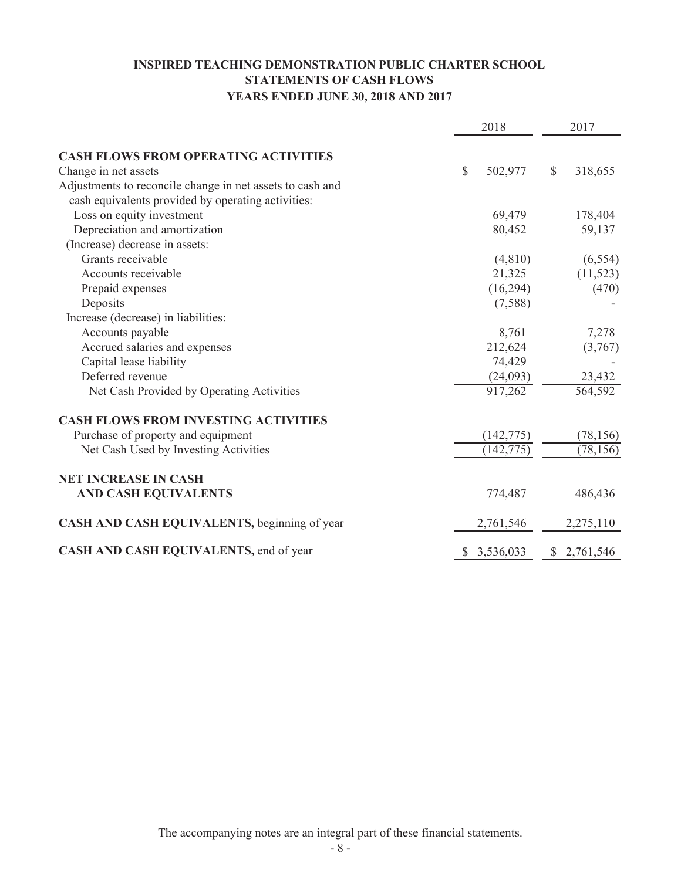# **INSPIRED TEACHING DEMONSTRATION PUBLIC CHARTER SCHOOL STATEMENTS OF CASH FLOWS YEARS ENDED JUNE 30, 2018 AND 2017**

|                                                           |               | 2018       |               | 2017        |  |
|-----------------------------------------------------------|---------------|------------|---------------|-------------|--|
| <b>CASH FLOWS FROM OPERATING ACTIVITIES</b>               |               |            |               |             |  |
| Change in net assets                                      | $\mathcal{S}$ | 502,977    | $\mathcal{S}$ | 318,655     |  |
| Adjustments to reconcile change in net assets to cash and |               |            |               |             |  |
| cash equivalents provided by operating activities:        |               |            |               |             |  |
| Loss on equity investment                                 |               | 69,479     |               | 178,404     |  |
| Depreciation and amortization                             |               | 80,452     |               | 59,137      |  |
| (Increase) decrease in assets:                            |               |            |               |             |  |
| Grants receivable                                         |               | (4,810)    |               | (6, 554)    |  |
| Accounts receivable                                       |               | 21,325     |               | (11, 523)   |  |
| Prepaid expenses                                          |               | (16,294)   |               | (470)       |  |
| Deposits                                                  |               | (7, 588)   |               |             |  |
| Increase (decrease) in liabilities:                       |               |            |               |             |  |
| Accounts payable                                          |               | 8,761      |               | 7,278       |  |
| Accrued salaries and expenses                             |               | 212,624    |               | (3,767)     |  |
| Capital lease liability                                   |               | 74,429     |               |             |  |
| Deferred revenue                                          |               | (24,093)   |               | 23,432      |  |
| Net Cash Provided by Operating Activities                 |               | 917,262    |               | 564,592     |  |
| <b>CASH FLOWS FROM INVESTING ACTIVITIES</b>               |               |            |               |             |  |
| Purchase of property and equipment                        |               | (142, 775) |               | (78, 156)   |  |
| Net Cash Used by Investing Activities                     |               | (142, 775) |               | (78, 156)   |  |
| <b>NET INCREASE IN CASH</b>                               |               |            |               |             |  |
| <b>AND CASH EQUIVALENTS</b>                               |               | 774,487    |               | 486,436     |  |
| CASH AND CASH EQUIVALENTS, beginning of year              |               | 2,761,546  |               | 2,275,110   |  |
| CASH AND CASH EQUIVALENTS, end of year                    | $\mathbb{S}$  | 3,536,033  |               | \$2,761,546 |  |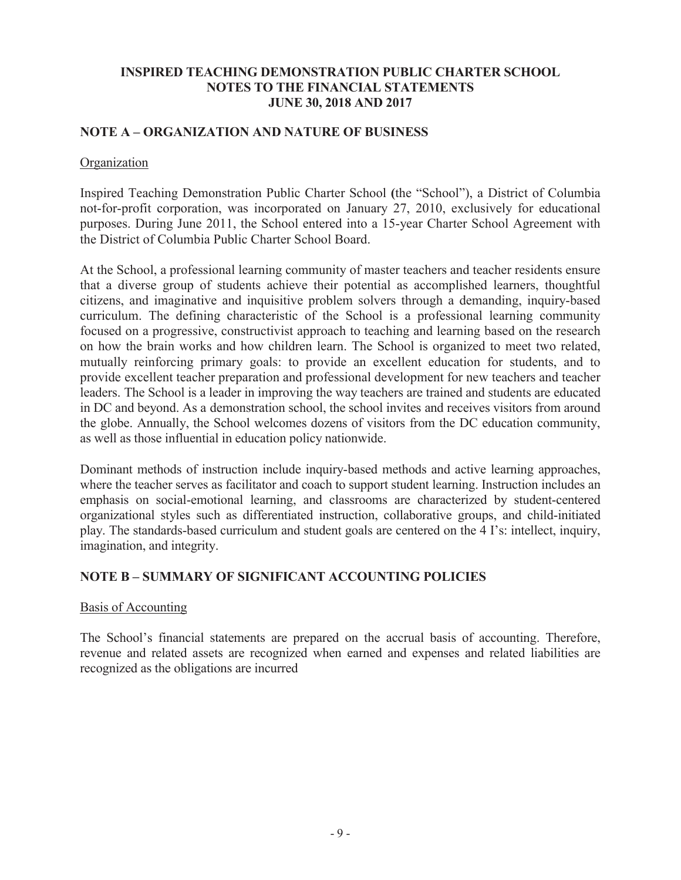## **NOTE A – ORGANIZATION AND NATURE OF BUSINESS**

#### **Organization**

Inspired Teaching Demonstration Public Charter School **(**the "School"), a District of Columbia not-for-profit corporation, was incorporated on January 27, 2010, exclusively for educational purposes. During June 2011, the School entered into a 15-year Charter School Agreement with the District of Columbia Public Charter School Board.

At the School, a professional learning community of master teachers and teacher residents ensure that a diverse group of students achieve their potential as accomplished learners, thoughtful citizens, and imaginative and inquisitive problem solvers through a demanding, inquiry-based curriculum. The defining characteristic of the School is a professional learning community focused on a progressive, constructivist approach to teaching and learning based on the research on how the brain works and how children learn. The School is organized to meet two related, mutually reinforcing primary goals: to provide an excellent education for students, and to provide excellent teacher preparation and professional development for new teachers and teacher leaders. The School is a leader in improving the way teachers are trained and students are educated in DC and beyond. As a demonstration school, the school invites and receives visitors from around the globe. Annually, the School welcomes dozens of visitors from the DC education community, as well as those influential in education policy nationwide.

Dominant methods of instruction include inquiry-based methods and active learning approaches, where the teacher serves as facilitator and coach to support student learning. Instruction includes an emphasis on social-emotional learning, and classrooms are characterized by student-centered organizational styles such as differentiated instruction, collaborative groups, and child-initiated play. The standards-based curriculum and student goals are centered on the 4 I's: intellect, inquiry, imagination, and integrity.

#### **NOTE B – SUMMARY OF SIGNIFICANT ACCOUNTING POLICIES**

#### Basis of Accounting

The School's financial statements are prepared on the accrual basis of accounting. Therefore, revenue and related assets are recognized when earned and expenses and related liabilities are recognized as the obligations are incurred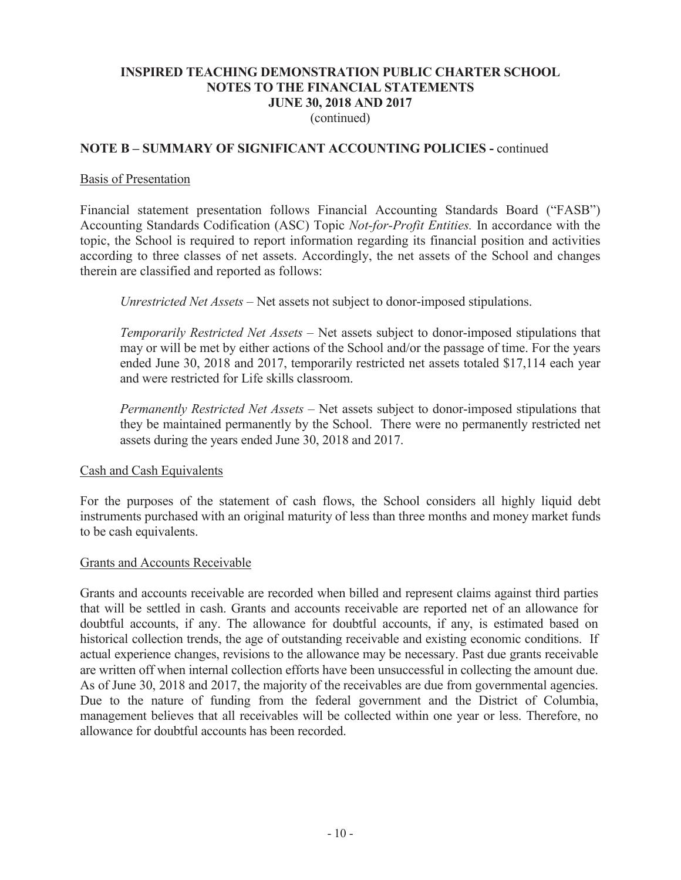(continued)

### **NOTE B – SUMMARY OF SIGNIFICANT ACCOUNTING POLICIES -** continued

#### Basis of Presentation

Financial statement presentation follows Financial Accounting Standards Board ("FASB") Accounting Standards Codification (ASC) Topic *Not-for-Profit Entities.* In accordance with the topic, the School is required to report information regarding its financial position and activities according to three classes of net assets. Accordingly, the net assets of the School and changes therein are classified and reported as follows:

*Unrestricted Net Assets* – Net assets not subject to donor-imposed stipulations.

*Temporarily Restricted Net Assets* – Net assets subject to donor-imposed stipulations that may or will be met by either actions of the School and/or the passage of time. For the years ended June 30, 2018 and 2017, temporarily restricted net assets totaled \$17,114 each year and were restricted for Life skills classroom.

*Permanently Restricted Net Assets* – Net assets subject to donor-imposed stipulations that they be maintained permanently by the School. There were no permanently restricted net assets during the years ended June 30, 2018 and 2017.

#### Cash and Cash Equivalents

For the purposes of the statement of cash flows, the School considers all highly liquid debt instruments purchased with an original maturity of less than three months and money market funds to be cash equivalents.

#### Grants and Accounts Receivable

Grants and accounts receivable are recorded when billed and represent claims against third parties that will be settled in cash. Grants and accounts receivable are reported net of an allowance for doubtful accounts, if any. The allowance for doubtful accounts, if any, is estimated based on historical collection trends, the age of outstanding receivable and existing economic conditions. If actual experience changes, revisions to the allowance may be necessary. Past due grants receivable are written off when internal collection efforts have been unsuccessful in collecting the amount due. As of June 30, 2018 and 2017, the majority of the receivables are due from governmental agencies. Due to the nature of funding from the federal government and the District of Columbia, management believes that all receivables will be collected within one year or less. Therefore, no allowance for doubtful accounts has been recorded.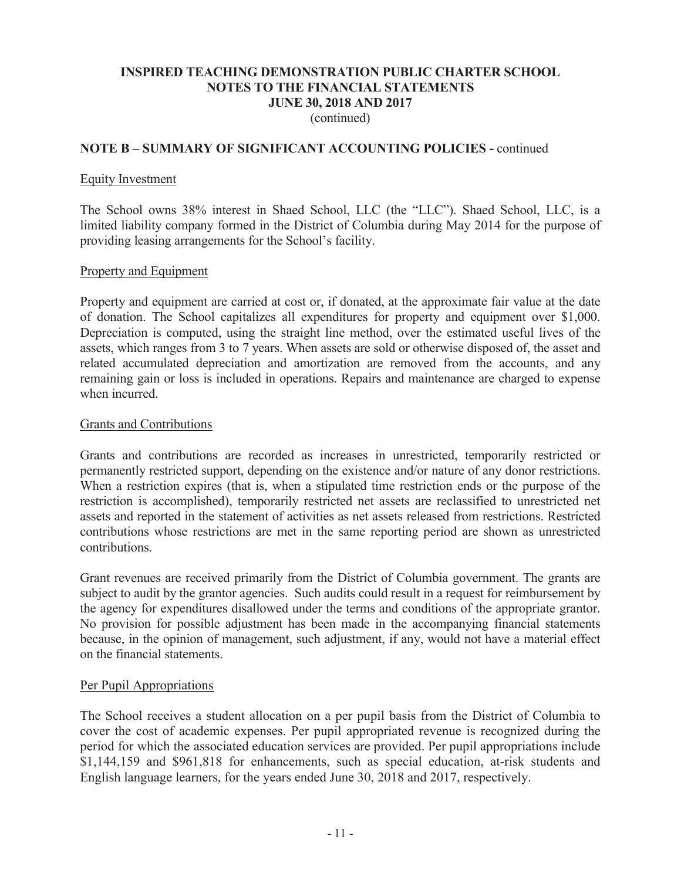(continued)

#### **NOTE B – SUMMARY OF SIGNIFICANT ACCOUNTING POLICIES -** continued

#### Equity Investment

The School owns 38% interest in Shaed School, LLC (the "LLC"). Shaed School, LLC, is a limited liability company formed in the District of Columbia during May 2014 for the purpose of providing leasing arrangements for the School's facility.

#### Property and Equipment

Property and equipment are carried at cost or, if donated, at the approximate fair value at the date of donation. The School capitalizes all expenditures for property and equipment over \$1,000. Depreciation is computed, using the straight line method, over the estimated useful lives of the assets, which ranges from 3 to 7 years. When assets are sold or otherwise disposed of, the asset and related accumulated depreciation and amortization are removed from the accounts, and any remaining gain or loss is included in operations. Repairs and maintenance are charged to expense when incurred.

#### Grants and Contributions

Grants and contributions are recorded as increases in unrestricted, temporarily restricted or permanently restricted support, depending on the existence and/or nature of any donor restrictions. When a restriction expires (that is, when a stipulated time restriction ends or the purpose of the restriction is accomplished), temporarily restricted net assets are reclassified to unrestricted net assets and reported in the statement of activities as net assets released from restrictions. Restricted contributions whose restrictions are met in the same reporting period are shown as unrestricted contributions.

Grant revenues are received primarily from the District of Columbia government. The grants are subject to audit by the grantor agencies. Such audits could result in a request for reimbursement by the agency for expenditures disallowed under the terms and conditions of the appropriate grantor. No provision for possible adjustment has been made in the accompanying financial statements because, in the opinion of management, such adjustment, if any, would not have a material effect on the financial statements.

#### Per Pupil Appropriations

The School receives a student allocation on a per pupil basis from the District of Columbia to cover the cost of academic expenses. Per pupil appropriated revenue is recognized during the period for which the associated education services are provided. Per pupil appropriations include \$1,144,159 and \$961,818 for enhancements, such as special education, at-risk students and English language learners, for the years ended June 30, 2018 and 2017, respectively.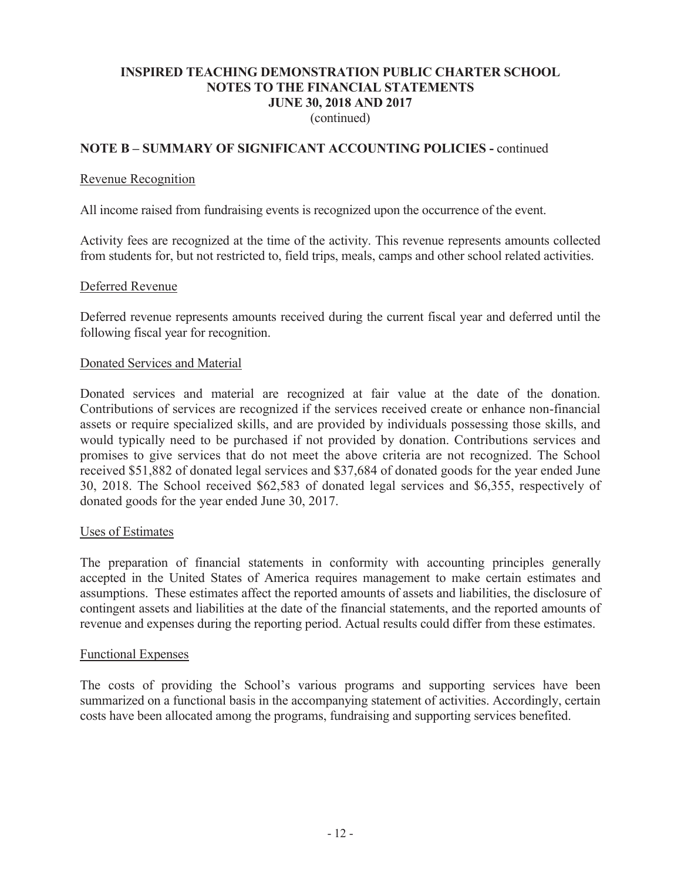(continued)

#### **NOTE B – SUMMARY OF SIGNIFICANT ACCOUNTING POLICIES -** continued

#### Revenue Recognition

All income raised from fundraising events is recognized upon the occurrence of the event.

Activity fees are recognized at the time of the activity. This revenue represents amounts collected from students for, but not restricted to, field trips, meals, camps and other school related activities.

#### Deferred Revenue

Deferred revenue represents amounts received during the current fiscal year and deferred until the following fiscal year for recognition.

#### Donated Services and Material

Donated services and material are recognized at fair value at the date of the donation. Contributions of services are recognized if the services received create or enhance non-financial assets or require specialized skills, and are provided by individuals possessing those skills, and would typically need to be purchased if not provided by donation. Contributions services and promises to give services that do not meet the above criteria are not recognized. The School received \$51,882 of donated legal services and \$37,684 of donated goods for the year ended June 30, 2018. The School received \$62,583 of donated legal services and \$6,355, respectively of donated goods for the year ended June 30, 2017.

#### Uses of Estimates

The preparation of financial statements in conformity with accounting principles generally accepted in the United States of America requires management to make certain estimates and assumptions. These estimates affect the reported amounts of assets and liabilities, the disclosure of contingent assets and liabilities at the date of the financial statements, and the reported amounts of revenue and expenses during the reporting period. Actual results could differ from these estimates.

#### Functional Expenses

The costs of providing the School's various programs and supporting services have been summarized on a functional basis in the accompanying statement of activities. Accordingly, certain costs have been allocated among the programs, fundraising and supporting services benefited.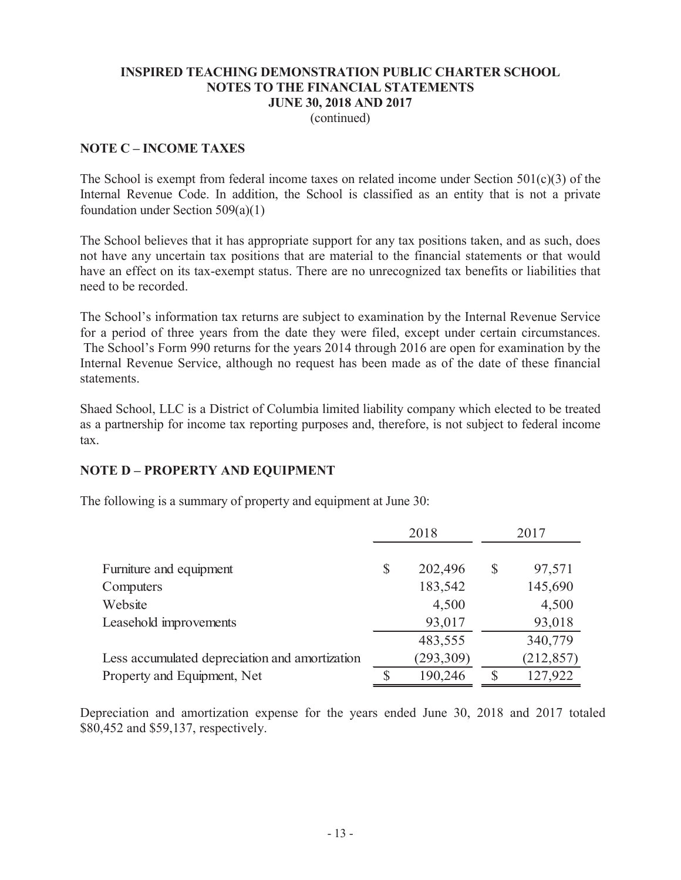(continued)

### **NOTE C – INCOME TAXES**

The School is exempt from federal income taxes on related income under Section  $501(c)(3)$  of the Internal Revenue Code. In addition, the School is classified as an entity that is not a private foundation under Section 509(a)(1)

The School believes that it has appropriate support for any tax positions taken, and as such, does not have any uncertain tax positions that are material to the financial statements or that would have an effect on its tax-exempt status. There are no unrecognized tax benefits or liabilities that need to be recorded.

The School's information tax returns are subject to examination by the Internal Revenue Service for a period of three years from the date they were filed, except under certain circumstances. The School's Form 990 returns for the years 2014 through 2016 are open for examination by the Internal Revenue Service, although no request has been made as of the date of these financial statements.

Shaed School, LLC is a District of Columbia limited liability company which elected to be treated as a partnership for income tax reporting purposes and, therefore, is not subject to federal income tax.

# **NOTE D – PROPERTY AND EQUIPMENT**

The following is a summary of property and equipment at June 30:

|                                                | 2018 |            |   | 2017       |
|------------------------------------------------|------|------------|---|------------|
| Furniture and equipment                        | \$   | 202,496    | S | 97,571     |
| Computers                                      |      | 183,542    |   | 145,690    |
| Website                                        |      | 4,500      |   | 4,500      |
| Leasehold improvements                         |      | 93,017     |   | 93,018     |
|                                                |      | 483,555    |   | 340,779    |
| Less accumulated depreciation and amortization |      | (293, 309) |   | (212, 857) |
| Property and Equipment, Net                    | \$   | 190,246    | S | 127,922    |

Depreciation and amortization expense for the years ended June 30, 2018 and 2017 totaled \$80,452 and \$59,137, respectively.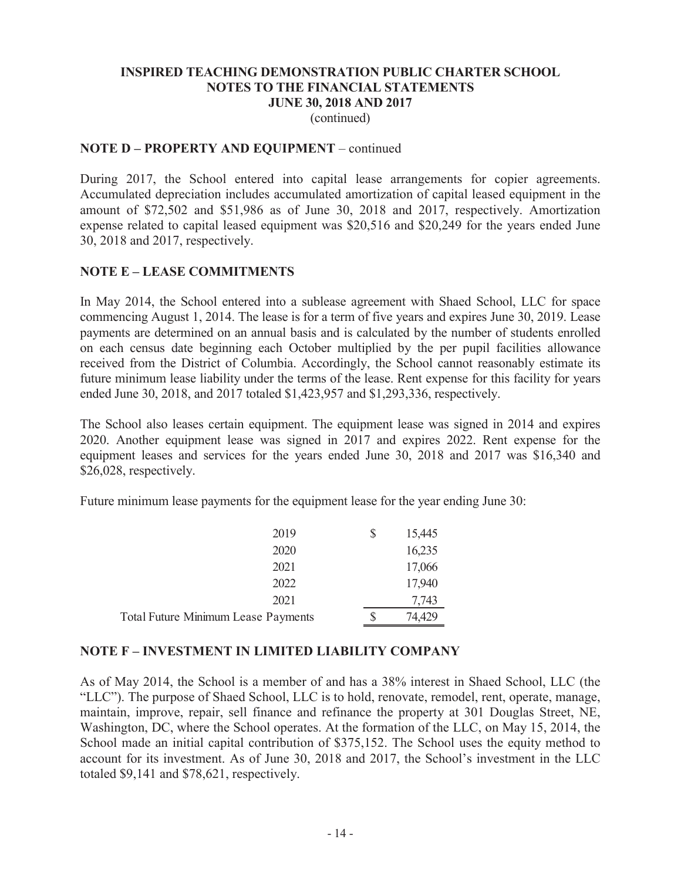(continued)

#### **NOTE D – PROPERTY AND EQUIPMENT** – continued

During 2017, the School entered into capital lease arrangements for copier agreements. Accumulated depreciation includes accumulated amortization of capital leased equipment in the amount of \$72,502 and \$51,986 as of June 30, 2018 and 2017, respectively. Amortization expense related to capital leased equipment was \$20,516 and \$20,249 for the years ended June 30, 2018 and 2017, respectively.

# **NOTE E – LEASE COMMITMENTS**

In May 2014, the School entered into a sublease agreement with Shaed School, LLC for space commencing August 1, 2014. The lease is for a term of five years and expires June 30, 2019. Lease payments are determined on an annual basis and is calculated by the number of students enrolled on each census date beginning each October multiplied by the per pupil facilities allowance received from the District of Columbia. Accordingly, the School cannot reasonably estimate its future minimum lease liability under the terms of the lease. Rent expense for this facility for years ended June 30, 2018, and 2017 totaled \$1,423,957 and \$1,293,336, respectively.

The School also leases certain equipment. The equipment lease was signed in 2014 and expires 2020. Another equipment lease was signed in 2017 and expires 2022. Rent expense for the equipment leases and services for the years ended June 30, 2018 and 2017 was \$16,340 and \$26,028, respectively.

Future minimum lease payments for the equipment lease for the year ending June 30:

| 2019                                       | 15,445 |
|--------------------------------------------|--------|
| 2020                                       | 16,235 |
| 2021                                       | 17,066 |
| 2022                                       | 17,940 |
| 2021                                       | 7,743  |
| <b>Total Future Minimum Lease Payments</b> | 74,429 |

# **NOTE F – INVESTMENT IN LIMITED LIABILITY COMPANY**

As of May 2014, the School is a member of and has a 38% interest in Shaed School, LLC (the "LLC"). The purpose of Shaed School, LLC is to hold, renovate, remodel, rent, operate, manage, maintain, improve, repair, sell finance and refinance the property at 301 Douglas Street, NE, Washington, DC, where the School operates. At the formation of the LLC, on May 15, 2014, the School made an initial capital contribution of \$375,152. The School uses the equity method to account for its investment. As of June 30, 2018 and 2017, the School's investment in the LLC totaled \$9,141 and \$78,621, respectively.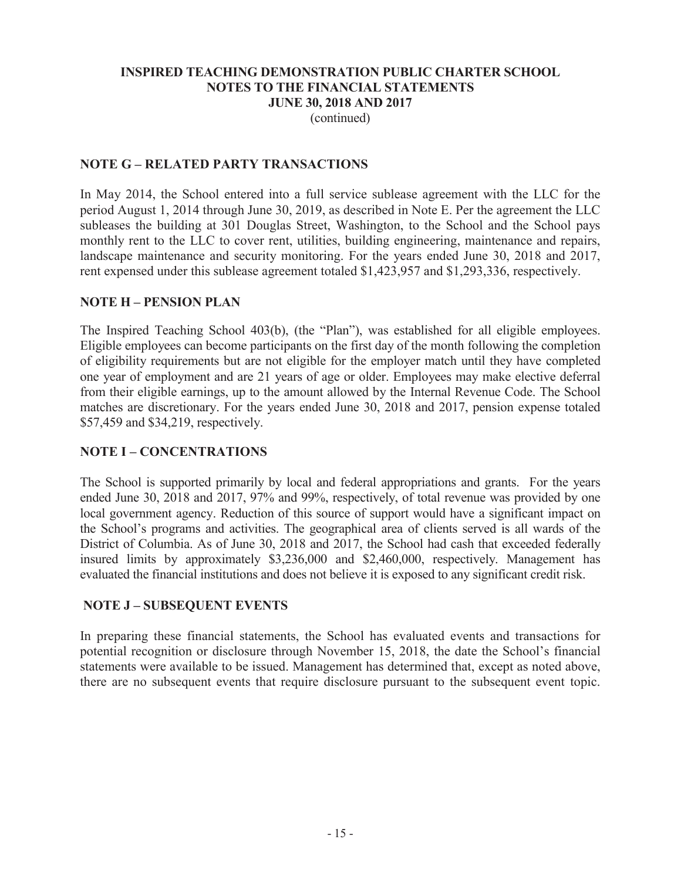(continued)

## **NOTE G – RELATED PARTY TRANSACTIONS**

In May 2014, the School entered into a full service sublease agreement with the LLC for the period August 1, 2014 through June 30, 2019, as described in Note E. Per the agreement the LLC subleases the building at 301 Douglas Street, Washington, to the School and the School pays monthly rent to the LLC to cover rent, utilities, building engineering, maintenance and repairs, landscape maintenance and security monitoring. For the years ended June 30, 2018 and 2017, rent expensed under this sublease agreement totaled \$1,423,957 and \$1,293,336, respectively.

## **NOTE H – PENSION PLAN**

The Inspired Teaching School 403(b), (the "Plan"), was established for all eligible employees. Eligible employees can become participants on the first day of the month following the completion of eligibility requirements but are not eligible for the employer match until they have completed one year of employment and are 21 years of age or older. Employees may make elective deferral from their eligible earnings, up to the amount allowed by the Internal Revenue Code. The School matches are discretionary. For the years ended June 30, 2018 and 2017, pension expense totaled \$57,459 and \$34,219, respectively.

# **NOTE I – CONCENTRATIONS**

The School is supported primarily by local and federal appropriations and grants. For the years ended June 30, 2018 and 2017, 97% and 99%, respectively, of total revenue was provided by one local government agency. Reduction of this source of support would have a significant impact on the School's programs and activities. The geographical area of clients served is all wards of the District of Columbia. As of June 30, 2018 and 2017, the School had cash that exceeded federally insured limits by approximately \$3,236,000 and \$2,460,000, respectively. Management has evaluated the financial institutions and does not believe it is exposed to any significant credit risk.

# **NOTE J – SUBSEQUENT EVENTS**

In preparing these financial statements, the School has evaluated events and transactions for potential recognition or disclosure through November 15, 2018, the date the School's financial statements were available to be issued. Management has determined that, except as noted above, there are no subsequent events that require disclosure pursuant to the subsequent event topic.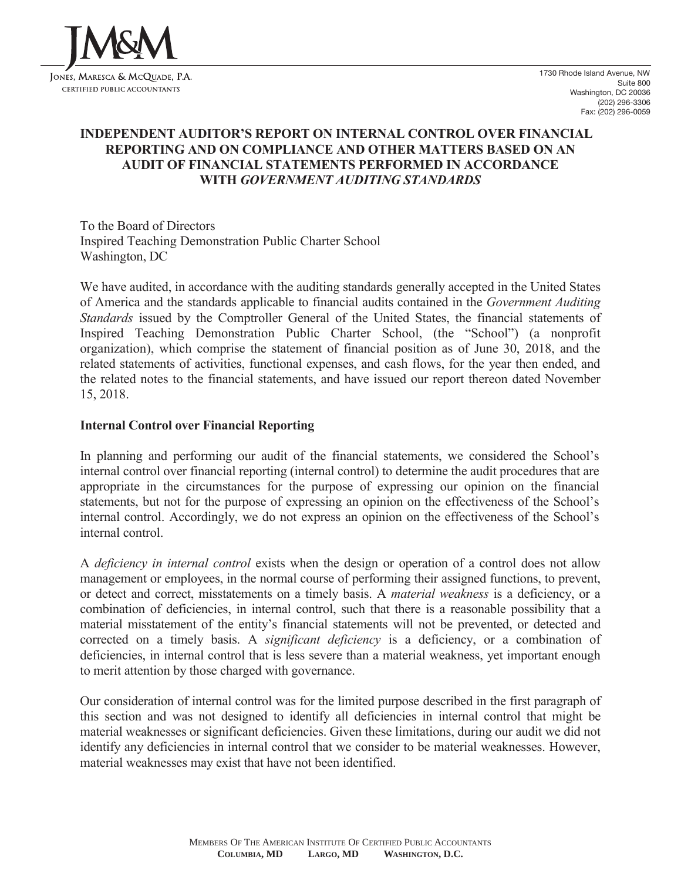

## **INDEPENDENT AUDITOR'S REPORT ON INTERNAL CONTROL OVER FINANCIAL REPORTING AND ON COMPLIANCE AND OTHER MATTERS BASED ON AN AUDIT OF FINANCIAL STATEMENTS PERFORMED IN ACCORDANCE WITH** *GOVERNMENT AUDITING STANDARDS*

To the Board of Directors Inspired Teaching Demonstration Public Charter School Washington, DC

We have audited, in accordance with the auditing standards generally accepted in the United States of America and the standards applicable to financial audits contained in the *Government Auditing Standards* issued by the Comptroller General of the United States, the financial statements of Inspired Teaching Demonstration Public Charter School, (the "School") (a nonprofit organization), which comprise the statement of financial position as of June 30, 2018, and the related statements of activities, functional expenses, and cash flows, for the year then ended, and the related notes to the financial statements, and have issued our report thereon dated November 15, 2018.

## **Internal Control over Financial Reporting**

In planning and performing our audit of the financial statements, we considered the School's internal control over financial reporting (internal control) to determine the audit procedures that are appropriate in the circumstances for the purpose of expressing our opinion on the financial statements, but not for the purpose of expressing an opinion on the effectiveness of the School's internal control. Accordingly, we do not express an opinion on the effectiveness of the School's internal control.

A *deficiency in internal control* exists when the design or operation of a control does not allow management or employees, in the normal course of performing their assigned functions, to prevent, or detect and correct, misstatements on a timely basis. A *material weakness* is a deficiency, or a combination of deficiencies, in internal control, such that there is a reasonable possibility that a material misstatement of the entity's financial statements will not be prevented, or detected and corrected on a timely basis. A *significant deficiency* is a deficiency, or a combination of deficiencies, in internal control that is less severe than a material weakness, yet important enough to merit attention by those charged with governance.

Our consideration of internal control was for the limited purpose described in the first paragraph of this section and was not designed to identify all deficiencies in internal control that might be material weaknesses or significant deficiencies. Given these limitations, during our audit we did not identify any deficiencies in internal control that we consider to be material weaknesses. However, material weaknesses may exist that have not been identified.